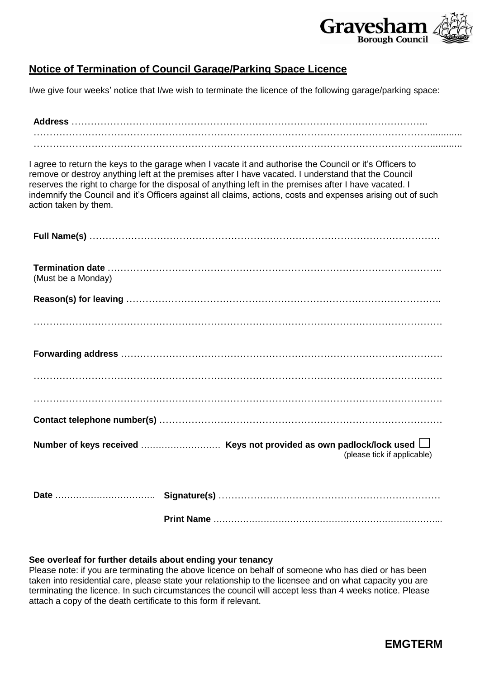

## **Notice of Termination of Council Garage/Parking Space Licence**

I/we give four weeks' notice that I/we wish to terminate the licence of the following garage/parking space:

I agree to return the keys to the garage when I vacate it and authorise the Council or it's Officers to remove or destroy anything left at the premises after I have vacated. I understand that the Council reserves the right to charge for the disposal of anything left in the premises after I have vacated. I indemnify the Council and it's Officers against all claims, actions, costs and expenses arising out of such action taken by them.

| (Must be a Monday)          |
|-----------------------------|
|                             |
|                             |
|                             |
|                             |
|                             |
|                             |
| (please tick if applicable) |
|                             |

**Print Name** …………………………………………………………………...

#### **See overleaf for further details about ending your tenancy**

Please note: if you are terminating the above licence on behalf of someone who has died or has been taken into residential care, please state your relationship to the licensee and on what capacity you are terminating the licence. In such circumstances the council will accept less than 4 weeks notice. Please attach a copy of the death certificate to this form if relevant.